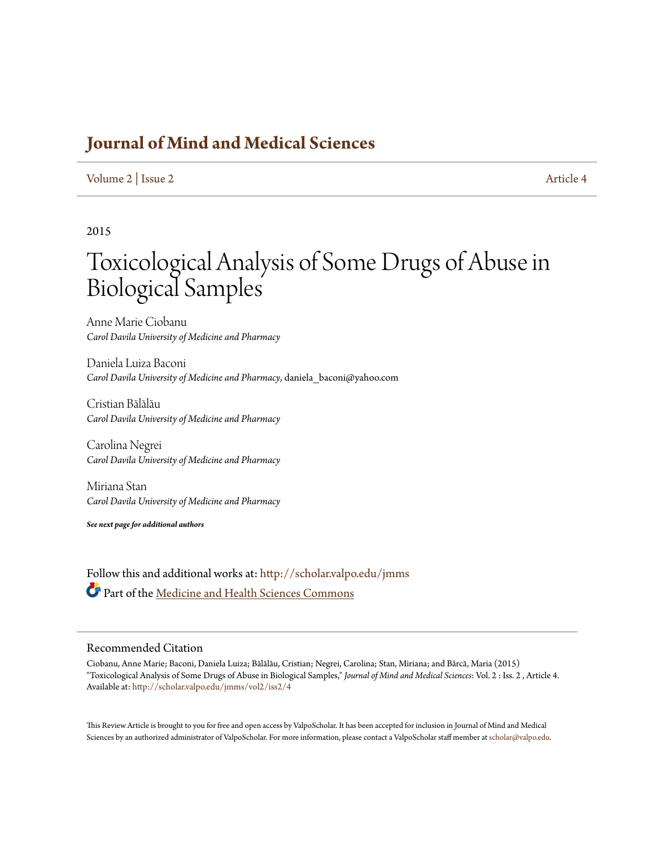# **[Journal of Mind and Medical Sciences](http://scholar.valpo.edu/jmms?utm_source=scholar.valpo.edu%2Fjmms%2Fvol2%2Fiss2%2F4&utm_medium=PDF&utm_campaign=PDFCoverPages)**

#### [Volume 2](http://scholar.valpo.edu/jmms/vol2?utm_source=scholar.valpo.edu%2Fjmms%2Fvol2%2Fiss2%2F4&utm_medium=PDF&utm_campaign=PDFCoverPages) | [Issue 2](http://scholar.valpo.edu/jmms/vol2/iss2?utm_source=scholar.valpo.edu%2Fjmms%2Fvol2%2Fiss2%2F4&utm_medium=PDF&utm_campaign=PDFCoverPages) [Article 4](http://scholar.valpo.edu/jmms/vol2/iss2/4?utm_source=scholar.valpo.edu%2Fjmms%2Fvol2%2Fiss2%2F4&utm_medium=PDF&utm_campaign=PDFCoverPages)

#### 2015

# Toxicological Analysis of Some Drugs of Abuse in Biological Samples

Anne Marie Ciobanu *Carol Davila University of Medicine and Pharmacy*

Daniela Luiza Baconi *Carol Davila University of Medicine and Pharmacy*, daniela\_baconi@yahoo.com

Cristian Bălălău *Carol Davila University of Medicine and Pharmacy*

Carolina Negrei *Carol Davila University of Medicine and Pharmacy*

Miriana Stan *Carol Davila University of Medicine and Pharmacy*

*See next page for additional authors*

Follow this and additional works at: [http://scholar.valpo.edu/jmms](http://scholar.valpo.edu/jmms?utm_source=scholar.valpo.edu%2Fjmms%2Fvol2%2Fiss2%2F4&utm_medium=PDF&utm_campaign=PDFCoverPages) Part of the [Medicine and Health Sciences Commons](http://network.bepress.com/hgg/discipline/648?utm_source=scholar.valpo.edu%2Fjmms%2Fvol2%2Fiss2%2F4&utm_medium=PDF&utm_campaign=PDFCoverPages)

#### Recommended Citation

Ciobanu, Anne Marie; Baconi, Daniela Luiza; Bălălău, Cristian; Negrei, Carolina; Stan, Miriana; and Bârcă, Maria (2015) "Toxicological Analysis of Some Drugs of Abuse in Biological Samples," *Journal of Mind and Medical Sciences*: Vol. 2 : Iss. 2 , Article 4. Available at: [http://scholar.valpo.edu/jmms/vol2/iss2/4](http://scholar.valpo.edu/jmms/vol2/iss2/4?utm_source=scholar.valpo.edu%2Fjmms%2Fvol2%2Fiss2%2F4&utm_medium=PDF&utm_campaign=PDFCoverPages)

This Review Article is brought to you for free and open access by ValpoScholar. It has been accepted for inclusion in Journal of Mind and Medical Sciences by an authorized administrator of ValpoScholar. For more information, please contact a ValpoScholar staff member at [scholar@valpo.edu](mailto:scholar@valpo.edu).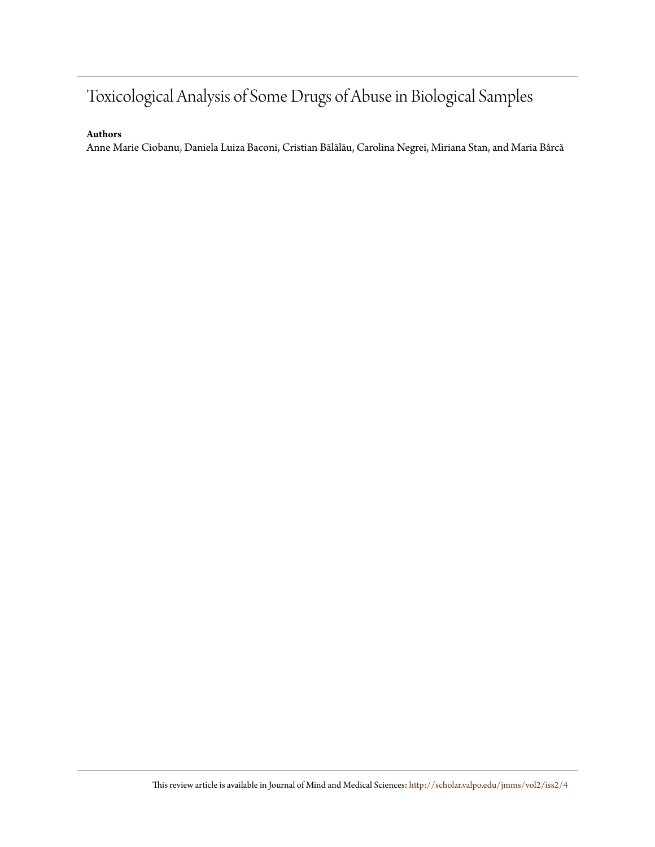# Toxicological Analysis of Some Drugs of Abuse in Biological Samples

#### **Authors**

Anne Marie Ciobanu, Daniela Luiza Baconi, Cristian Bălălău, Carolina Negrei, Miriana Stan, and Maria Bârcă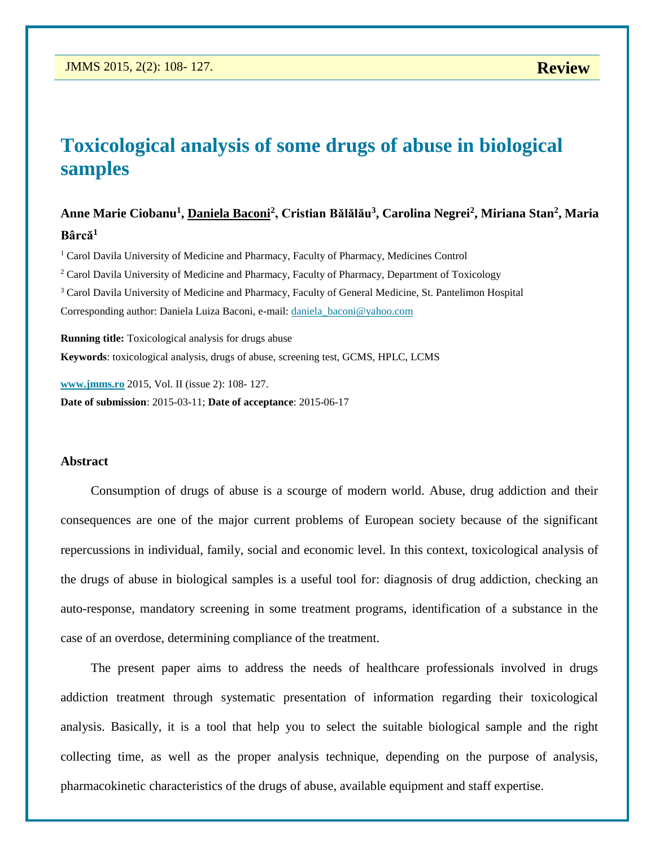# **Toxicological analysis of some drugs of abuse in biological samples**

# **Anne Marie Ciobanu<sup>1</sup> , Daniela Baconi<sup>2</sup> , Cristian Bălălău<sup>3</sup> , Carolina Negrei<sup>2</sup> , Miriana Stan<sup>2</sup> , Maria Bârcă<sup>1</sup>**

 Carol Davila University of Medicine and Pharmacy, Faculty of Pharmacy, Medicines Control Carol Davila University of Medicine and Pharmacy, Faculty of Pharmacy, Department of Toxicology Carol Davila University of Medicine and Pharmacy, Faculty of General Medicine, St. Pantelimon Hospital Corresponding author: Daniela Luiza Baconi, e-mail: [daniela\\_baconi@yahoo.com](mailto:daniela_baconi@yahoo.com)

**Running title:** Toxicological analysis for drugs abuse **Keywords**: toxicological analysis, drugs of abuse, screening test, GCMS, HPLC, LCMS

**[www.jmms.ro](http://www.jmms.ro/)** 2015, Vol. II (issue 2): 108- 127. **Date of submission**: 2015-03-11; **Date of acceptance**: 2015-06-17

#### **Abstract**

Consumption of drugs of abuse is a scourge of modern world. Abuse, drug addiction and their consequences are one of the major current problems of European society because of the significant repercussions in individual, family, social and economic level. In this context, toxicological analysis of the drugs of abuse in biological samples is a useful tool for: diagnosis of drug addiction, checking an auto-response, mandatory screening in some treatment programs, identification of a substance in the case of an overdose, determining compliance of the treatment.

The present paper aims to address the needs of healthcare professionals involved in drugs addiction treatment through systematic presentation of information regarding their toxicological analysis. Basically, it is a tool that help you to select the suitable biological sample and the right collecting time, as well as the proper analysis technique, depending on the purpose of analysis, pharmacokinetic characteristics of the drugs of abuse, available equipment and staff expertise.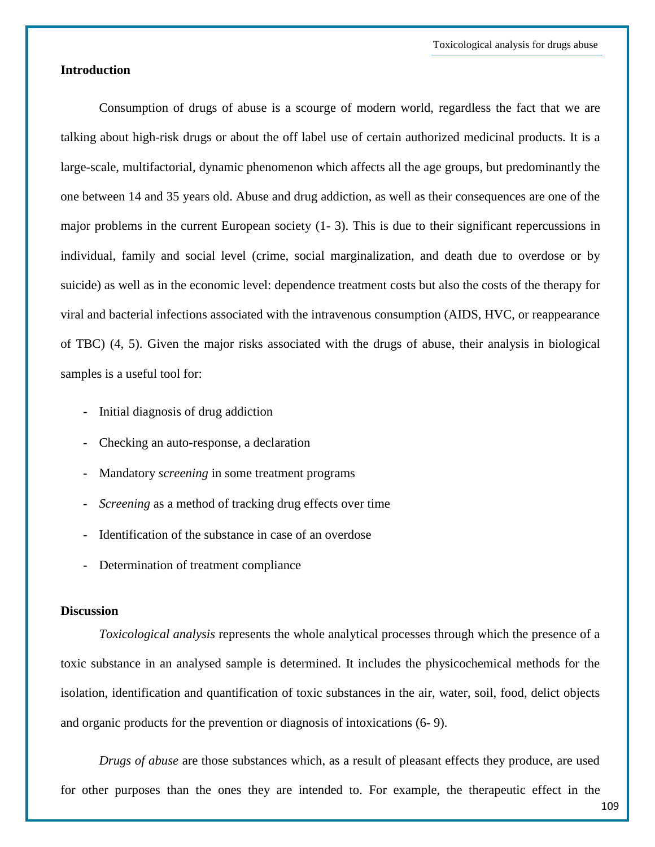## **Introduction**

Consumption of drugs of abuse is a scourge of modern world, regardless the fact that we are talking about high-risk drugs or about the off label use of certain authorized medicinal products. It is a large-scale, multifactorial, dynamic phenomenon which affects all the age groups, but predominantly the one between 14 and 35 years old. Abuse and drug addiction, as well as their consequences are one of the major problems in the current European society (1- 3). This is due to their significant repercussions in individual, family and social level (crime, social marginalization, and death due to overdose or by suicide) as well as in the economic level: dependence treatment costs but also the costs of the therapy for viral and bacterial infections associated with the intravenous consumption (AIDS, HVC, or reappearance of TBC) (4, 5). Given the major risks associated with the drugs of abuse, their analysis in biological samples is a useful tool for:

- **-** Initial diagnosis of drug addiction
- **-** Checking an auto-response, a declaration
- **-** Mandatory *screening* in some treatment programs
- **-** *Screening* as a method of tracking drug effects over time
- **-** Identification of the substance in case of an overdose
- **-** Determination of treatment compliance

#### **Discussion**

*Toxicological analysis* represents the whole analytical processes through which the presence of a toxic substance in an analysed sample is determined. It includes the physicochemical methods for the isolation, identification and quantification of toxic substances in the air, water, soil, food, delict objects and organic products for the prevention or diagnosis of intoxications (6- 9).

*Drugs of abuse* are those substances which, as a result of pleasant effects they produce, are used for other purposes than the ones they are intended to. For example, the therapeutic effect in the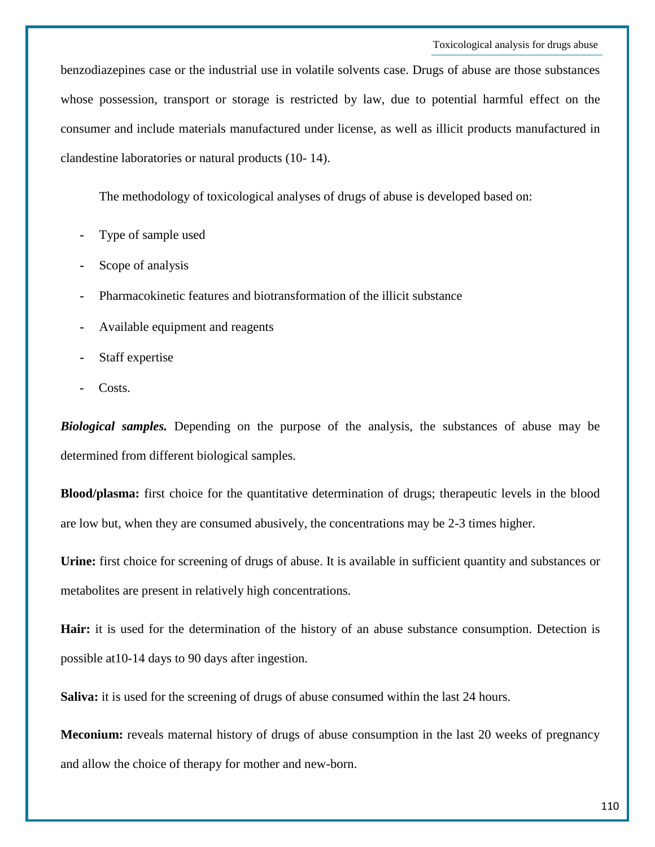benzodiazepines case or the industrial use in volatile solvents case. Drugs of abuse are those substances whose possession, transport or storage is restricted by law, due to potential harmful effect on the consumer and include materials manufactured under license, as well as illicit products manufactured in clandestine laboratories or natural products (10- 14).

The methodology of toxicological analyses of drugs of abuse is developed based on:

- **-** Type of sample used
- **-** Scope of analysis
- **-** Pharmacokinetic features and biotransformation of the illicit substance
- **-** Available equipment and reagents
- **-** Staff expertise
- **-** Costs.

*Biological samples.* Depending on the purpose of the analysis, the substances of abuse may be determined from different biological samples.

**Blood/plasma:** first choice for the quantitative determination of drugs; therapeutic levels in the blood are low but, when they are consumed abusively, the concentrations may be 2-3 times higher.

**Urine:** first choice for screening of drugs of abuse. It is available in sufficient quantity and substances or metabolites are present in relatively high concentrations.

**Hair:** it is used for the determination of the history of an abuse substance consumption. Detection is possible at10-14 days to 90 days after ingestion.

**Saliva:** it is used for the screening of drugs of abuse consumed within the last 24 hours.

**Meconium:** reveals maternal history of drugs of abuse consumption in the last 20 weeks of pregnancy and allow the choice of therapy for mother and new-born.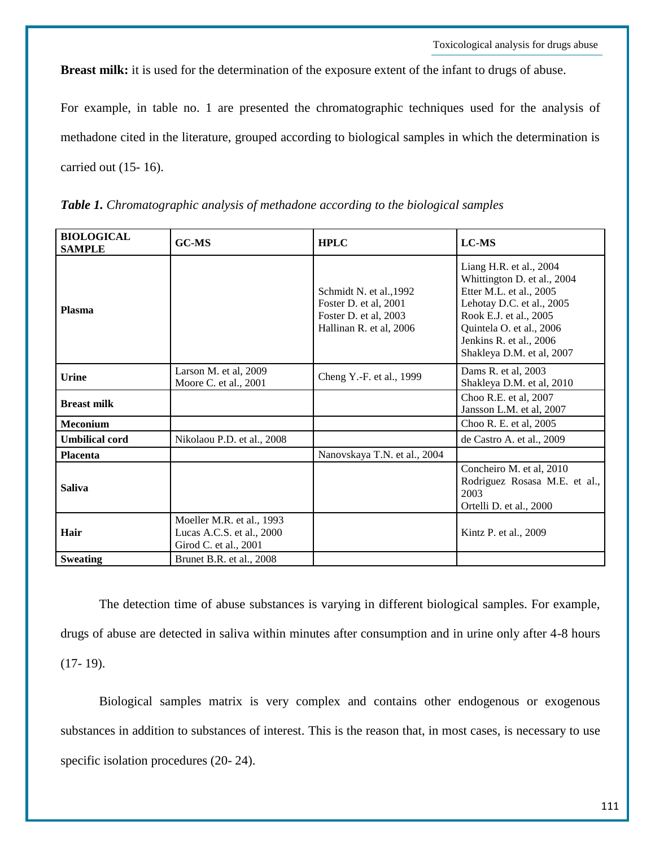**Breast milk:** it is used for the determination of the exposure extent of the infant to drugs of abuse.

For example, in table no. 1 are presented the chromatographic techniques used for the analysis of methadone cited in the literature, grouped according to biological samples in which the determination is carried out (15- 16).

| <b>BIOLOGICAL</b><br><b>SAMPLE</b> | <b>GC-MS</b>                                                                    | <b>HPLC</b>                                                                                          | <b>LC-MS</b>                                                                                                                                                                                                                 |
|------------------------------------|---------------------------------------------------------------------------------|------------------------------------------------------------------------------------------------------|------------------------------------------------------------------------------------------------------------------------------------------------------------------------------------------------------------------------------|
| <b>Plasma</b>                      |                                                                                 | Schmidt N. et al., 1992<br>Foster D. et al, 2001<br>Foster D. et al, 2003<br>Hallinan R. et al, 2006 | Liang H.R. et al., 2004<br>Whittington D. et al., 2004<br>Etter M.L. et al., 2005<br>Lehotay D.C. et al., 2005<br>Rook E.J. et al., 2005<br>Quintela O. et al., 2006<br>Jenkins R. et al., 2006<br>Shakleya D.M. et al, 2007 |
| Urine                              | Larson M. et al, 2009<br>Moore C. et al., 2001                                  | Cheng Y.-F. et al., 1999                                                                             | Dams R. et al, 2003<br>Shakleya D.M. et al, 2010                                                                                                                                                                             |
| <b>Breast milk</b>                 |                                                                                 |                                                                                                      | Choo R.E. et al, 2007<br>Jansson L.M. et al, 2007                                                                                                                                                                            |
| Meconium                           |                                                                                 |                                                                                                      | Choo R. E. et al, 2005                                                                                                                                                                                                       |
| <b>Umbilical cord</b>              | Nikolaou P.D. et al., 2008                                                      |                                                                                                      | de Castro A. et al., 2009                                                                                                                                                                                                    |
| <b>Placenta</b>                    |                                                                                 | Nanovskaya T.N. et al., 2004                                                                         |                                                                                                                                                                                                                              |
| <b>Saliva</b>                      |                                                                                 |                                                                                                      | Concheiro M. et al, 2010<br>Rodriguez Rosasa M.E. et al.,<br>2003<br>Ortelli D. et al., 2000                                                                                                                                 |
| Hair                               | Moeller M.R. et al., 1993<br>Lucas A.C.S. et al., 2000<br>Girod C. et al., 2001 |                                                                                                      | Kintz P. et al., 2009                                                                                                                                                                                                        |
| <b>Sweating</b>                    | Brunet B.R. et al., 2008                                                        |                                                                                                      |                                                                                                                                                                                                                              |

*Table 1. Chromatographic analysis of methadone according to the biological samples*

The detection time of abuse substances is varying in different biological samples. For example, drugs of abuse are detected in saliva within minutes after consumption and in urine only after 4-8 hours  $(17-19)$ .

Biological samples matrix is very complex and contains other endogenous or exogenous substances in addition to substances of interest. This is the reason that, in most cases, is necessary to use specific isolation procedures (20- 24).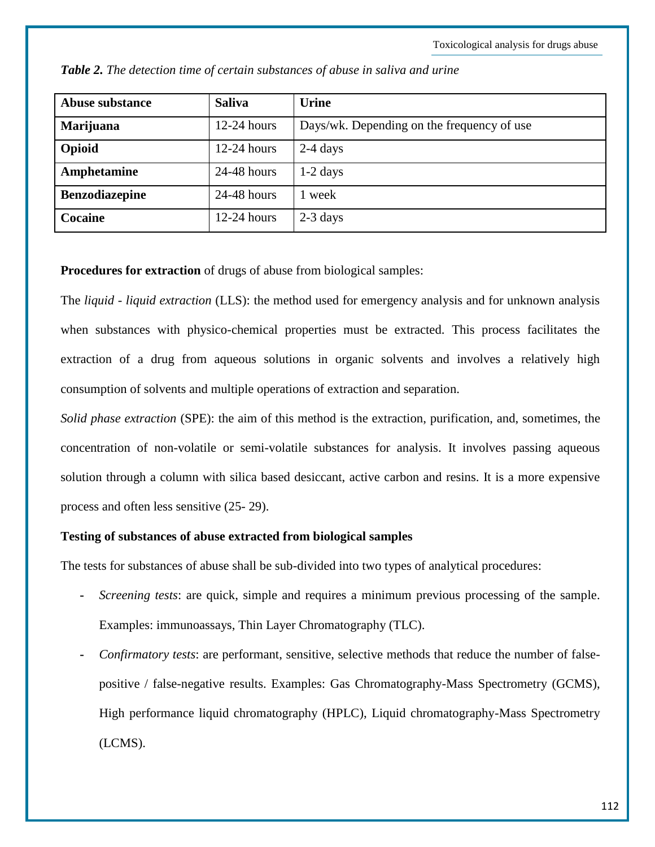| <b>Abuse substance</b> | <b>Saliva</b> | <b>Urine</b>                               |
|------------------------|---------------|--------------------------------------------|
| Marijuana              | $12-24$ hours | Days/wk. Depending on the frequency of use |
| Opioid                 | $12-24$ hours | $2-4$ days                                 |
| Amphetamine            | 24-48 hours   | $1-2$ days                                 |
| <b>Benzodiazepine</b>  | $24-48$ hours | week                                       |
| <b>Cocaine</b>         | $12-24$ hours | $2-3$ days                                 |

*Table 2. The detection time of certain substances of abuse in saliva and urine*

**Procedures for extraction** of drugs of abuse from biological samples:

The *liquid - liquid extraction* (LLS): the method used for emergency analysis and for unknown analysis when substances with physico-chemical properties must be extracted. This process facilitates the extraction of a drug from aqueous solutions in organic solvents and involves a relatively high consumption of solvents and multiple operations of extraction and separation.

*Solid phase extraction* (SPE): the aim of this method is the extraction, purification, and, sometimes, the concentration of non-volatile or semi-volatile substances for analysis. It involves passing aqueous solution through a column with silica based desiccant, active carbon and resins. It is a more expensive process and often less sensitive (25- 29).

#### **Testing of substances of abuse extracted from biological samples**

The tests for substances of abuse shall be sub-divided into two types of analytical procedures:

- **-** *Screening tests*: are quick, simple and requires a minimum previous processing of the sample. Examples: immunoassays, Thin Layer Chromatography (TLC).
- **-** *Confirmatory tests*: are performant, sensitive, selective methods that reduce the number of falsepositive / false-negative results. Examples: Gas Chromatography-Mass Spectrometry (GCMS), High performance liquid chromatography (HPLC), Liquid chromatography-Mass Spectrometry (LCMS).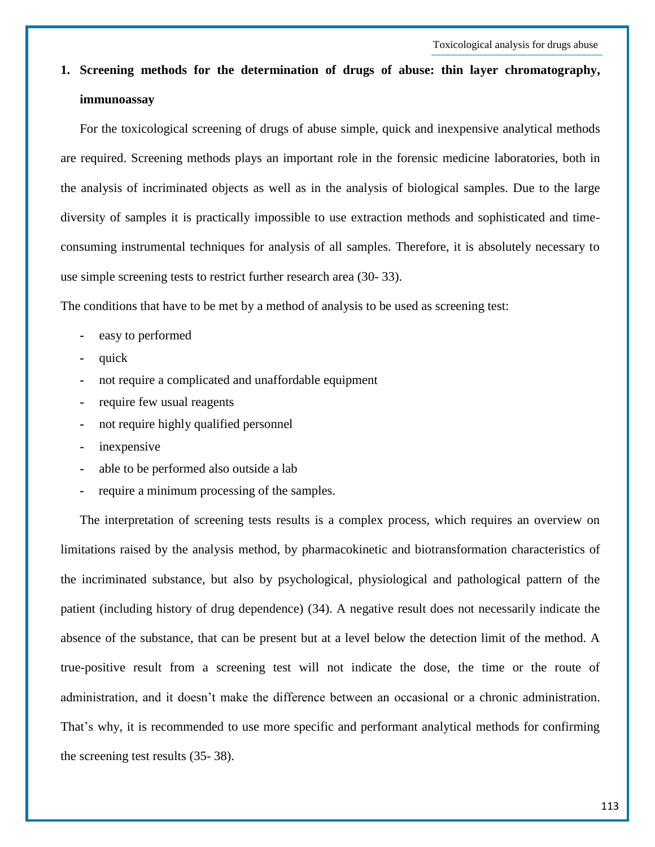**1. Screening methods for the determination of drugs of abuse: thin layer chromatography, immunoassay**

For the toxicological screening of drugs of abuse simple, quick and inexpensive analytical methods are required. Screening methods plays an important role in the forensic medicine laboratories, both in the analysis of incriminated objects as well as in the analysis of biological samples. Due to the large diversity of samples it is practically impossible to use extraction methods and sophisticated and timeconsuming instrumental techniques for analysis of all samples. Therefore, it is absolutely necessary to use simple screening tests to restrict further research area (30- 33).

The conditions that have to be met by a method of analysis to be used as screening test:

- **-** easy to performed
- **-** quick
- **-** not require a complicated and unaffordable equipment
- **-** require few usual reagents
- **-** not require highly qualified personnel
- **-** inexpensive
- **-** able to be performed also outside a lab
- **-** require a minimum processing of the samples.

The interpretation of screening tests results is a complex process, which requires an overview on limitations raised by the analysis method, by pharmacokinetic and biotransformation characteristics of the incriminated substance, but also by psychological, physiological and pathological pattern of the patient (including history of drug dependence) (34). A negative result does not necessarily indicate the absence of the substance, that can be present but at a level below the detection limit of the method. A true-positive result from a screening test will not indicate the dose, the time or the route of administration, and it doesn't make the difference between an occasional or a chronic administration. That's why, it is recommended to use more specific and performant analytical methods for confirming the screening test results (35- 38).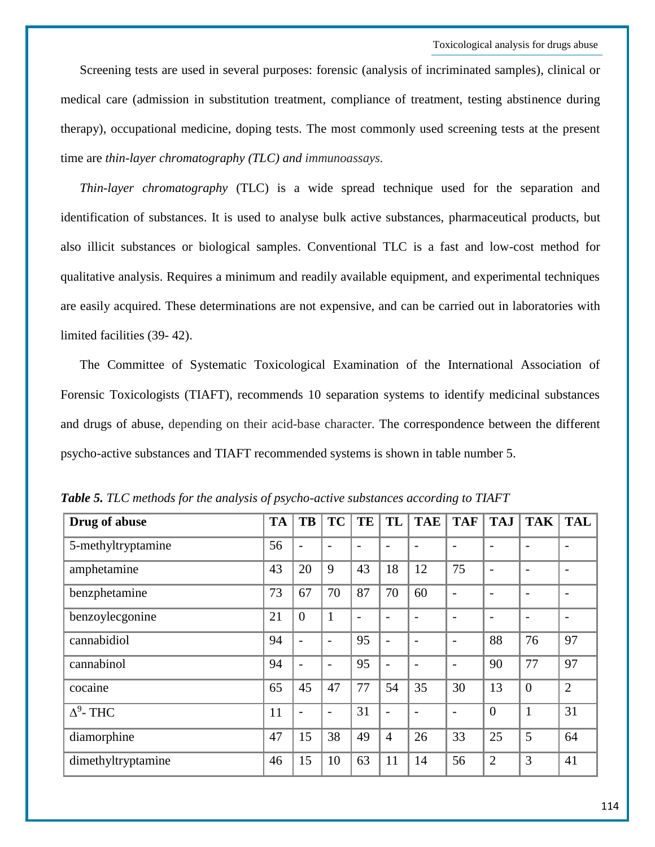Screening tests are used in several purposes: forensic (analysis of incriminated samples), clinical or medical care (admission in substitution treatment, compliance of treatment, testing abstinence during therapy), occupational medicine, doping tests. The most commonly used screening tests at the present time are *thin-layer chromatography (TLC) and immunoassays.*

*Thin-layer chromatography* (TLC) is a wide spread technique used for the separation and identification of substances. It is used to analyse bulk active substances, pharmaceutical products, but also illicit substances or biological samples. Conventional TLC is a fast and low-cost method for qualitative analysis. Requires a minimum and readily available equipment, and experimental techniques are easily acquired. These determinations are not expensive, and can be carried out in laboratories with limited facilities (39- 42).

The Committee of Systematic Toxicological Examination of the International Association of Forensic Toxicologists (TIAFT), recommends 10 separation systems to identify medicinal substances and drugs of abuse, depending on their acid-base character. The correspondence between the different psycho-active substances and TIAFT recommended systems is shown in table number 5.

| Drug of abuse      | <b>TA</b> | <b>TB</b>                | <b>TC</b>                | TE | TL                       | <b>TAE</b> | <b>TAF</b>               | <b>TAJ</b>               | <b>TAK</b>               | <b>TAL</b>               |
|--------------------|-----------|--------------------------|--------------------------|----|--------------------------|------------|--------------------------|--------------------------|--------------------------|--------------------------|
| 5-methyltryptamine | 56        | $\overline{\phantom{a}}$ |                          |    |                          |            | $\overline{\phantom{a}}$ |                          | $\overline{\phantom{a}}$ | $\overline{\phantom{0}}$ |
| amphetamine        | 43        | 20                       | 9                        | 43 | 18                       | 12         | 75                       | $\overline{\phantom{a}}$ | $\overline{\phantom{a}}$ | $\overline{\phantom{0}}$ |
| benzphetamine      | 73        | 67                       | 70                       | 87 | 70                       | 60         | $\overline{\phantom{a}}$ | $\overline{\phantom{a}}$ | $\overline{\phantom{a}}$ | $\overline{\phantom{0}}$ |
| benzoylecgonine    | 21        | $\overline{0}$           | $\mathbf{1}$             |    |                          |            | $\overline{\phantom{a}}$ | $\overline{\phantom{a}}$ | $\overline{\phantom{a}}$ | $\overline{\phantom{0}}$ |
| cannabidiol        | 94        | $\overline{\phantom{0}}$ |                          | 95 | $\overline{\phantom{0}}$ |            | $\overline{\phantom{a}}$ | 88                       | 76                       | 97                       |
| cannabinol         | 94        | $\overline{\phantom{0}}$ | $\overline{\phantom{0}}$ | 95 | $\overline{\phantom{0}}$ |            | $\overline{\phantom{0}}$ | 90                       | 77                       | 97                       |
| cocaine            | 65        | 45                       | 47                       | 77 | 54                       | 35         | 30                       | 13                       | $\overline{0}$           | $\overline{2}$           |
| $\Delta^9$ - THC   | 11        | $\overline{\phantom{0}}$ |                          | 31 | $\overline{\phantom{0}}$ |            | $\overline{\phantom{a}}$ | $\overline{0}$           | 1                        | 31                       |
| diamorphine        | 47        | 15                       | 38                       | 49 | $\overline{4}$           | 26         | 33                       | 25                       | 5                        | 64                       |
| dimethyltryptamine | 46        | 15                       | 10                       | 63 | 11                       | 14         | 56                       | $\overline{2}$           | 3                        | 41                       |

*Table 5. TLC methods for the analysis of psycho-active substances according to TIAFT*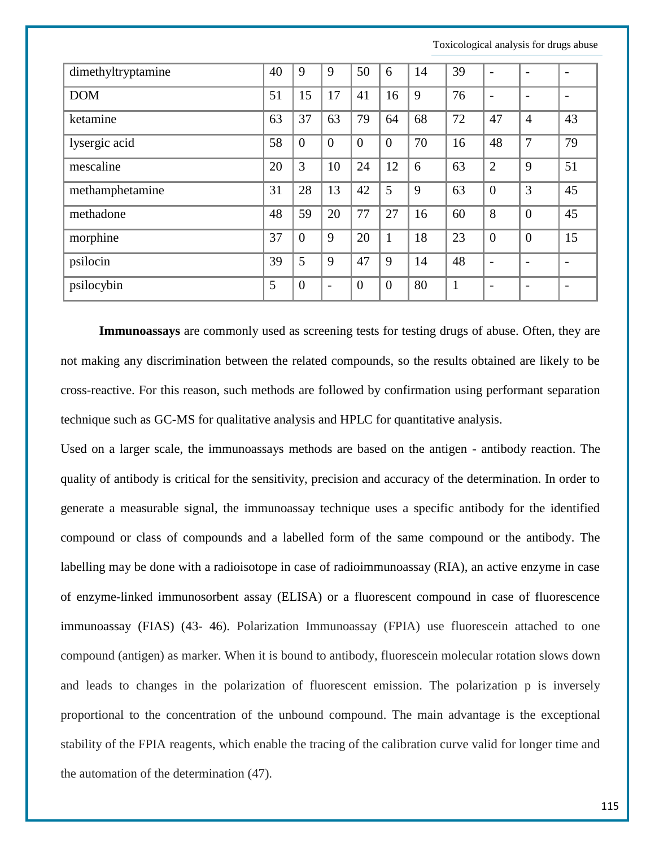| dimethyltryptamine | 40 | 9              | 9                        | 50             | 6              | 14 | 39           |                          |                          |                          |
|--------------------|----|----------------|--------------------------|----------------|----------------|----|--------------|--------------------------|--------------------------|--------------------------|
| <b>DOM</b>         | 51 | 15             | 17                       | 41             | 16             | 9  | 76           | -                        | $\overline{a}$           | $\overline{\phantom{0}}$ |
| ketamine           | 63 | 37             | 63                       | 79             | 64             | 68 | 72           | 47                       | $\overline{4}$           | 43                       |
| lysergic acid      | 58 | $\overline{0}$ | $\overline{0}$           | $\theta$       | $\overline{0}$ | 70 | 16           | 48                       | 7                        | 79                       |
| mescaline          | 20 | 3              | 10                       | 24             | 12             | 6  | 63           | $\overline{2}$           | 9                        | 51                       |
| methamphetamine    | 31 | 28             | 13                       | 42             | 5              | 9  | 63           | $\mathbf{0}$             | 3                        | 45                       |
| methadone          | 48 | 59             | 20                       | 77             | 27             | 16 | 60           | 8                        | $\overline{0}$           | 45                       |
| morphine           | 37 | $\overline{0}$ | 9                        | 20             | $\mathbf{1}$   | 18 | 23           | $\theta$                 | $\overline{0}$           | 15                       |
| psilocin           | 39 | 5              | 9                        | 47             | 9              | 14 | 48           | $\overline{\phantom{a}}$ | $\overline{\phantom{0}}$ | $\overline{\phantom{0}}$ |
| psilocybin         | 5  | $\overline{0}$ | $\overline{\phantom{a}}$ | $\overline{0}$ | $\overline{0}$ | 80 | $\mathbf{1}$ | $\overline{\phantom{a}}$ | $\overline{\phantom{a}}$ | $\overline{\phantom{0}}$ |

**Immunoassays** are commonly used as screening tests for testing drugs of abuse. Often, they are not making any discrimination between the related compounds, so the results obtained are likely to be cross-reactive. For this reason, such methods are followed by confirmation using performant separation technique such as GC-MS for qualitative analysis and HPLC for quantitative analysis.

Used on a larger scale, the immunoassays methods are based on the antigen - antibody reaction. The quality of antibody is critical for the sensitivity, precision and accuracy of the determination. In order to generate a measurable signal, the immunoassay technique uses a specific antibody for the identified compound or class of compounds and a labelled form of the same compound or the antibody. The labelling may be done with a radioisotope in case of radioimmunoassay (RIA), an active enzyme in case of enzyme-linked immunosorbent assay (ELISA) or a fluorescent compound in case of fluorescence immunoassay (FIAS) (43- 46). Polarization Immunoassay (FPIA) use fluorescein attached to one compound (antigen) as marker. When it is bound to antibody, fluorescein molecular rotation slows down and leads to changes in the polarization of fluorescent emission. The polarization p is inversely proportional to the concentration of the unbound compound. The main advantage is the exceptional stability of the FPIA reagents, which enable the tracing of the calibration curve valid for longer time and the automation of the determination (47).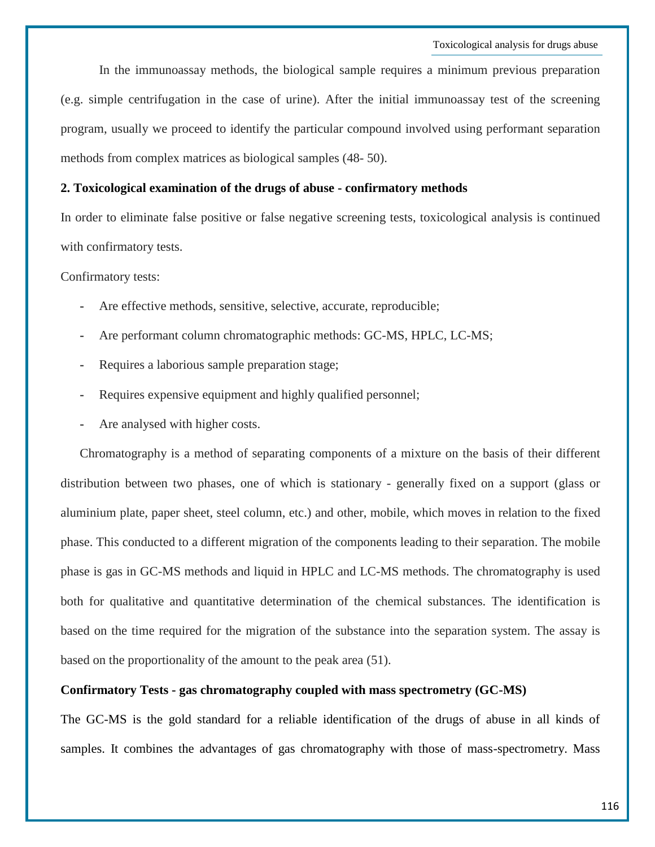In the immunoassay methods, the biological sample requires a minimum previous preparation (e.g. simple centrifugation in the case of urine). After the initial immunoassay test of the screening program, usually we proceed to identify the particular compound involved using performant separation methods from complex matrices as biological samples (48- 50).

## **2. Toxicological examination of the drugs of abuse - confirmatory methods**

In order to eliminate false positive or false negative screening tests, toxicological analysis is continued with confirmatory tests.

Confirmatory tests:

- **-** Are effective methods, sensitive, selective, accurate, reproducible;
- **-** Are performant column chromatographic methods: GC-MS, HPLC, LC-MS;
- **-** Requires a laborious sample preparation stage;
- **-** Requires expensive equipment and highly qualified personnel;
- **-** Are analysed with higher costs.

Chromatography is a method of separating components of a mixture on the basis of their different distribution between two phases, one of which is stationary - generally fixed on a support (glass or aluminium plate, paper sheet, steel column, etc.) and other, mobile, which moves in relation to the fixed phase. This conducted to a different migration of the components leading to their separation. The mobile phase is gas in GC-MS methods and liquid in HPLC and LC-MS methods. The chromatography is used both for qualitative and quantitative determination of the chemical substances. The identification is based on the time required for the migration of the substance into the separation system. The assay is based on the proportionality of the amount to the peak area (51).

#### **Confirmatory Tests - gas chromatography coupled with mass spectrometry (GC-MS)**

The GC-MS is the gold standard for a reliable identification of the drugs of abuse in all kinds of samples. It combines the advantages of gas chromatography with those of mass-spectrometry. Mass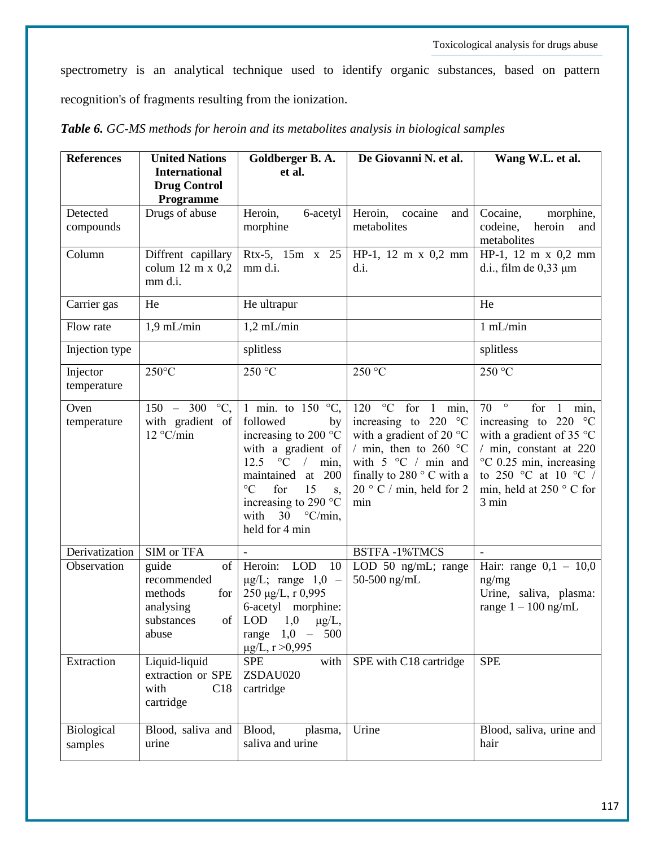spectrometry is an analytical technique used to identify organic substances, based on pattern recognition's of fragments resulting from the ionization.

| <b>References</b>       | <b>United Nations</b>                                                                  | Goldberger B.A.                                                                                                                                                                                                                                                            | De Giovanni N. et al.                                                                                                                                                                                                                                                          | Wang W.L. et al.                                                                                                                                                                                                                       |  |
|-------------------------|----------------------------------------------------------------------------------------|----------------------------------------------------------------------------------------------------------------------------------------------------------------------------------------------------------------------------------------------------------------------------|--------------------------------------------------------------------------------------------------------------------------------------------------------------------------------------------------------------------------------------------------------------------------------|----------------------------------------------------------------------------------------------------------------------------------------------------------------------------------------------------------------------------------------|--|
|                         | <b>International</b><br><b>Drug Control</b>                                            | et al.                                                                                                                                                                                                                                                                     |                                                                                                                                                                                                                                                                                |                                                                                                                                                                                                                                        |  |
| Detected<br>compounds   | Programme<br>Drugs of abuse                                                            | Heroin,<br>6-acetyl<br>morphine                                                                                                                                                                                                                                            | Heroin,<br>cocaine<br>and<br>metabolites                                                                                                                                                                                                                                       | Cocaine,<br>morphine,<br>codeine,<br>heroin<br>and<br>metabolites                                                                                                                                                                      |  |
| Column                  | Diffrent capillary<br>colum $12 \text{ m x } 0,2$<br>mm d.i.                           | Rtx-5, 15m x 25<br>mm d.i.                                                                                                                                                                                                                                                 | $HP-1$ , 12 m x 0,2 mm<br>d.i.                                                                                                                                                                                                                                                 | $HP-1$ , 12 m x 0,2 mm<br>d.i., film de $0,33 \mu$ m                                                                                                                                                                                   |  |
| Carrier gas             | He                                                                                     | He ultrapur                                                                                                                                                                                                                                                                |                                                                                                                                                                                                                                                                                | He                                                                                                                                                                                                                                     |  |
| Flow rate               | $1,9$ mL/min                                                                           | $1,2$ mL/min                                                                                                                                                                                                                                                               |                                                                                                                                                                                                                                                                                | $1$ mL/min                                                                                                                                                                                                                             |  |
| Injection type          |                                                                                        | splitless                                                                                                                                                                                                                                                                  |                                                                                                                                                                                                                                                                                | splitless                                                                                                                                                                                                                              |  |
| Injector<br>temperature | $250^{\circ}$ C                                                                        | 250 °C                                                                                                                                                                                                                                                                     | 250 °C                                                                                                                                                                                                                                                                         | 250 °C                                                                                                                                                                                                                                 |  |
| Oven<br>temperature     | $\frac{150 - 300}{ }$<br>$\rm ^{\circ}C.$<br>with gradient of<br>12 °C/min             | 1 min. to $150^{\circ}$ C,<br>followed<br>by<br>increasing to 200 °C<br>with a gradient of<br>$\rm ^{\circ}C$<br>12.5<br>$\sqrt{2}$<br>min,<br>maintained at 200<br>$\rm ^{\circ}C$<br>15<br>for<br>S,<br>increasing to 290 °C<br>with $30^\circ$ C/min,<br>held for 4 min | $\rm ^{\circ}C$<br>for<br>120<br>min,<br>$\mathbf{1}$<br>increasing to 220<br>$\rm ^{\circ}C$<br>with a gradient of 20 $^{\circ}$ C<br>/ min, then to 260 $^{\circ}$ C<br>with $5 \degree C$ / min and<br>finally to 280 ° C with a<br>20 $\degree$ C / min, held for 2<br>min | $\circ$<br>70<br>for<br>min,<br>increasing to 220<br>$\rm ^{\circ}C$<br>with a gradient of 35 $^{\circ}$ C<br>/ min, constant at 220<br>°C 0.25 min, increasing<br>to 250 °C at 10 °C $/$<br>min, held at 250 $\degree$ C for<br>3 min |  |
| Derivatization          | SIM or TFA                                                                             |                                                                                                                                                                                                                                                                            | <b>BSTFA-1%TMCS</b>                                                                                                                                                                                                                                                            |                                                                                                                                                                                                                                        |  |
| Observation             | of<br>guide<br>recommended<br>methods<br>for<br>analysing<br>substances<br>of<br>abuse | Heroin: LOD<br>10<br>$\mu$ g/L; range 1,0 -<br>250 μg/L, r 0,995<br>6-acetyl<br>morphine:<br><b>LOD</b><br>1,0<br>$\mu$ g/L,<br>range $1,0 - 500$<br>$\mu$ g/L, r >0,995                                                                                                   | LOD 50 ng/mL; range<br>50-500 ng/mL                                                                                                                                                                                                                                            | Hair: range $0,1 - 10,0$<br>ng/mg<br>Urine, saliva, plasma:<br>range $1 - 100$ ng/mL                                                                                                                                                   |  |
| Extraction              | Liquid-liquid<br>extraction or SPE<br>with<br>C18<br>cartridge                         | <b>SPE</b><br>with<br>ZSDAU020<br>cartridge                                                                                                                                                                                                                                | SPE with C18 cartridge                                                                                                                                                                                                                                                         | <b>SPE</b>                                                                                                                                                                                                                             |  |
| Biological<br>samples   | Blood, saliva and<br>urine                                                             | Blood,<br>plasma,<br>saliva and urine                                                                                                                                                                                                                                      | Urine                                                                                                                                                                                                                                                                          | Blood, saliva, urine and<br>hair                                                                                                                                                                                                       |  |

*Table 6. GC-MS methods for heroin and its metabolites analysis in biological samples*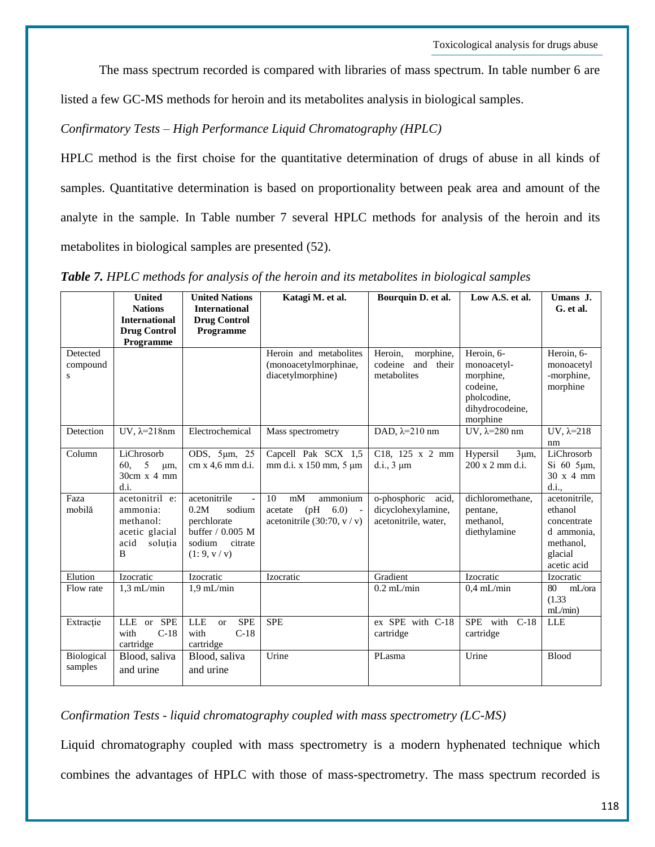The mass spectrum recorded is compared with libraries of mass spectrum. In table number 6 are

listed a few GC-MS methods for heroin and its metabolites analysis in biological samples.

*Confirmatory Tests – High Performance Liquid Chromatography (HPLC)*

HPLC method is the first choise for the quantitative determination of drugs of abuse in all kinds of samples. Quantitative determination is based on proportionality between peak area and amount of the analyte in the sample. In Table number 7 several HPLC methods for analysis of the heroin and its metabolites in biological samples are presented (52).

|                                     | <b>United</b><br><b>Nations</b><br><b>International</b><br><b>Drug Control</b><br>Programme | <b>United Nations</b><br><b>International</b><br><b>Drug Control</b><br>Programme                                      | Katagi M. et al.                                                                               | Bourquin D. et al.                                                  | Low A.S. et al.                                                                                  | Umans J.<br>G. et al.                                                                        |
|-------------------------------------|---------------------------------------------------------------------------------------------|------------------------------------------------------------------------------------------------------------------------|------------------------------------------------------------------------------------------------|---------------------------------------------------------------------|--------------------------------------------------------------------------------------------------|----------------------------------------------------------------------------------------------|
| Detected<br>compound<br>$\mathbf S$ |                                                                                             |                                                                                                                        | Heroin and metabolites<br>(monoacetylmorphinae,<br>diacetylmorphine)                           | Heroin,<br>morphine,<br>and their<br>codeine<br>metabolites         | Heroin, 6-<br>monoacetyl-<br>morphine,<br>codeine.<br>pholcodine,<br>dihydrocodeine,<br>morphine | Heroin, 6-<br>monoacetyl<br>-morphine,<br>morphine                                           |
| Detection                           | UV, $\lambda = 218$ nm                                                                      | Electrochemical                                                                                                        | Mass spectrometry                                                                              | DAD, $\lambda = 210$ nm                                             | UV, $\lambda = 280$ nm                                                                           | UV, $\lambda = 218$<br>nm                                                                    |
| Column                              | LiChrosorb<br>5<br>60.<br>um,<br>$30cm \times 4mm$<br>d.i.                                  | ODS, 5µm, 25<br>cm x 4,6 mm d.i.                                                                                       | Capcell Pak SCX 1,5<br>mm d.i. x 150 mm, 5 µm                                                  | C18, 125 x 2 mm<br>d.i., $3 \mu m$                                  | Hypersil<br>$3\mu m$ ,<br>200 x 2 mm d.i.                                                        | LiChrosorb<br>$Si$ 60 5 $\mu$ m,<br>$30 \times 4$ mm<br>d.i.,                                |
| Faza<br>mobilă                      | acetonitril e:<br>ammonia:<br>methanol:<br>acetic glacial<br>acid<br>soluția<br>B           | acetonitrile<br>$\blacksquare$<br>0.2M<br>sodium<br>perchlorate<br>buffer / 0.005 M<br>sodium<br>citrate<br>(1:9, v/v) | 10<br>mM<br>ammonium<br>(pH)<br>6.0)<br>acetate<br>$\sim$ $-$<br>acetonitrile $(30:70, v / v)$ | o-phosphoric<br>acid.<br>dicyclohexylamine,<br>acetonitrile, water, | dichloromethane,<br>pentane,<br>methanol,<br>diethylamine                                        | acetonitrile,<br>ethanol<br>concentrate<br>d ammonia,<br>methanol,<br>glacial<br>acetic acid |
| Elution                             | Izocratic                                                                                   | Izocratic                                                                                                              | Izocratic                                                                                      | Gradient                                                            | Izocratic                                                                                        | Izocratic                                                                                    |
| Flow rate                           | $1.3$ mL/min                                                                                | $1.9$ mL/min                                                                                                           |                                                                                                | $0.2$ mL/min                                                        | $0.4$ mL/min                                                                                     | 80<br>mL/ora<br>(1.33)<br>mL/min                                                             |
| Extractie                           | LLE or SPE<br>with<br>$C-18$<br>cartridge                                                   | <b>SPE</b><br><b>LLE</b><br>$\alpha$<br>with<br>$C-18$<br>cartridge                                                    | <b>SPE</b>                                                                                     | ex SPE with C-18<br>cartridge                                       | SPE with C-18<br>cartridge                                                                       | <b>LLE</b>                                                                                   |
| Biological<br>samples               | Blood, saliva<br>and urine                                                                  | Blood, saliva<br>and urine                                                                                             | Urine                                                                                          | PLasma                                                              | Urine                                                                                            | Blood                                                                                        |

*Table 7. HPLC methods for analysis of the heroin and its metabolites in biological samples*

# *Confirmation Tests - liquid chromatography coupled with mass spectrometry (LC-MS)*

Liquid chromatography coupled with mass spectrometry is a modern hyphenated technique which combines the advantages of HPLC with those of mass-spectrometry. The mass spectrum recorded is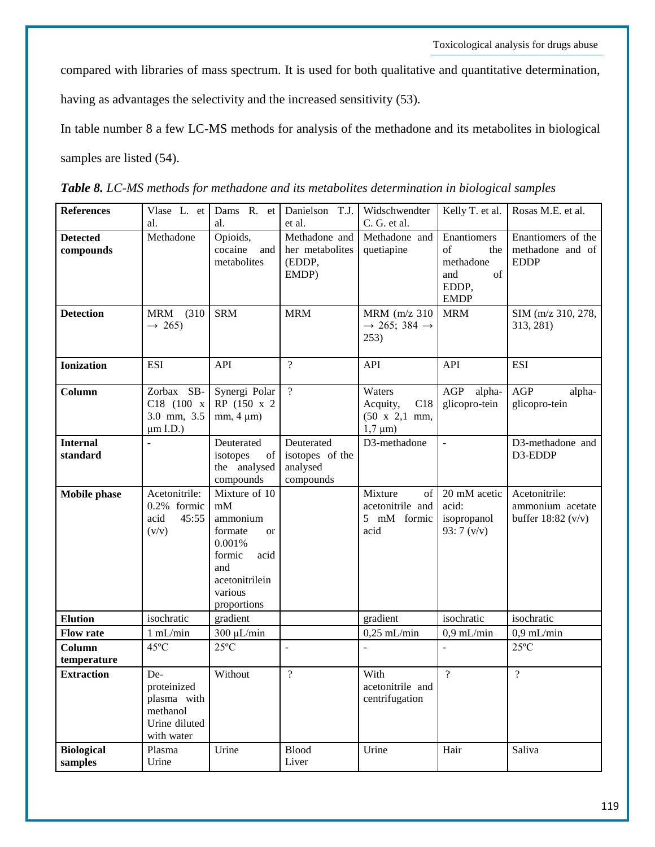compared with libraries of mass spectrum. It is used for both qualitative and quantitative determination,

having as advantages the selectivity and the increased sensitivity (53).

In table number 8 a few LC-MS methods for analysis of the methadone and its metabolites in biological samples are listed (54).

| <b>References</b>            | Vlase L. et<br>al.                                                           | Dams R. et<br>al.                                                                                                                      | Danielson T.J.<br>et al.                               | Widschwendter<br>C. G. et al.                                              | Kelly T. et al.                                                                    | Rosas M.E. et al.                                                 |
|------------------------------|------------------------------------------------------------------------------|----------------------------------------------------------------------------------------------------------------------------------------|--------------------------------------------------------|----------------------------------------------------------------------------|------------------------------------------------------------------------------------|-------------------------------------------------------------------|
| <b>Detected</b><br>compounds | Methadone                                                                    | Opioids,<br>cocaine<br>and<br>metabolites                                                                                              | Methadone and<br>her metabolites<br>(EDDP,<br>EMDP)    | Methadone and<br>quetiapine                                                | Enantiomers<br>$\sigma$ f<br>the<br>methadone<br>of<br>and<br>EDDP,<br><b>EMDP</b> | Enantiomers of the<br>methadone and of<br><b>EDDP</b>             |
| <b>Detection</b>             | (310)<br>MRM<br>$\rightarrow$ 265)                                           | <b>SRM</b>                                                                                                                             | <b>MRM</b>                                             | MRM (m/z 310<br>$\rightarrow$ 265; 384 $\rightarrow$<br>253)               | <b>MRM</b>                                                                         | SIM (m/z 310, 278,<br>313, 281)                                   |
| <b>Ionization</b>            | <b>ESI</b>                                                                   | API                                                                                                                                    | $\overline{?}$                                         | <b>API</b>                                                                 | <b>API</b>                                                                         | <b>ESI</b>                                                        |
| Column                       | $SB-$<br>Zorbax<br>C18 (100 x<br>3.0 mm, 3.5<br>$\mu$ m I.D.)                | Synergi Polar<br>RP (150 x 2)<br>$mm, 4 \mu m)$                                                                                        | $\overline{?}$                                         | Waters<br>Acquity,<br>C18<br>$(50 \times 2,1 \text{ mm},$<br>$1,7 \mu m$ ) | AGP<br>alpha-<br>glicopro-tein                                                     | AGP<br>alpha-<br>glicopro-tein                                    |
| <b>Internal</b><br>standard  |                                                                              | Deuterated<br>isotopes<br>of<br>the analysed<br>compounds                                                                              | Deuterated<br>isotopes of the<br>analysed<br>compounds | D3-methadone                                                               | $\frac{1}{2}$                                                                      | D3-methadone and<br>D3-EDDP                                       |
| <b>Mobile phase</b>          | Acetonitrile:<br>0.2% formic<br>acid<br>45:55<br>(v/v)                       | Mixture of 10<br>mM<br>ammonium<br>formate<br><b>or</b><br>0.001%<br>formic<br>acid<br>and<br>acetonitrilein<br>various<br>proportions |                                                        | Mixture<br>of<br>acetonitrile and<br>5 mM formic<br>acid                   | 20 mM acetic<br>acid:<br>isopropanol<br>93: $7 (v/v)$                              | Acetonitrile:<br>ammonium acetate<br>buffer $18:82 \text{ (v/v)}$ |
| <b>Elution</b>               | isochratic                                                                   | gradient                                                                                                                               |                                                        | gradient                                                                   | isochratic                                                                         | isochratic                                                        |
| <b>Flow rate</b>             | 1 mL/min                                                                     | $300 \mu L/min$                                                                                                                        |                                                        | $0,25$ mL/min                                                              | $0.9$ mL/min                                                                       | $0.9$ mL/min                                                      |
| Column<br>temperature        | 45°C                                                                         | $25^{\circ}$ C                                                                                                                         | $\bar{\phantom{a}}$                                    |                                                                            | $\overline{a}$                                                                     | $25^{\circ}$ C                                                    |
| <b>Extraction</b>            | De-<br>proteinized<br>plasma with<br>methanol<br>Urine diluted<br>with water | Without                                                                                                                                | $\overline{\mathcal{L}}$                               | With<br>acetonitrile and<br>centrifugation                                 | $\overline{?}$                                                                     | $\overline{?}$                                                    |
| <b>Biological</b><br>samples | Plasma<br>Urine                                                              | Urine                                                                                                                                  | <b>Blood</b><br>Liver                                  | Urine                                                                      | Hair                                                                               | Saliva                                                            |

*Table 8. LC-MS methods for methadone and its metabolites determination in biological samples*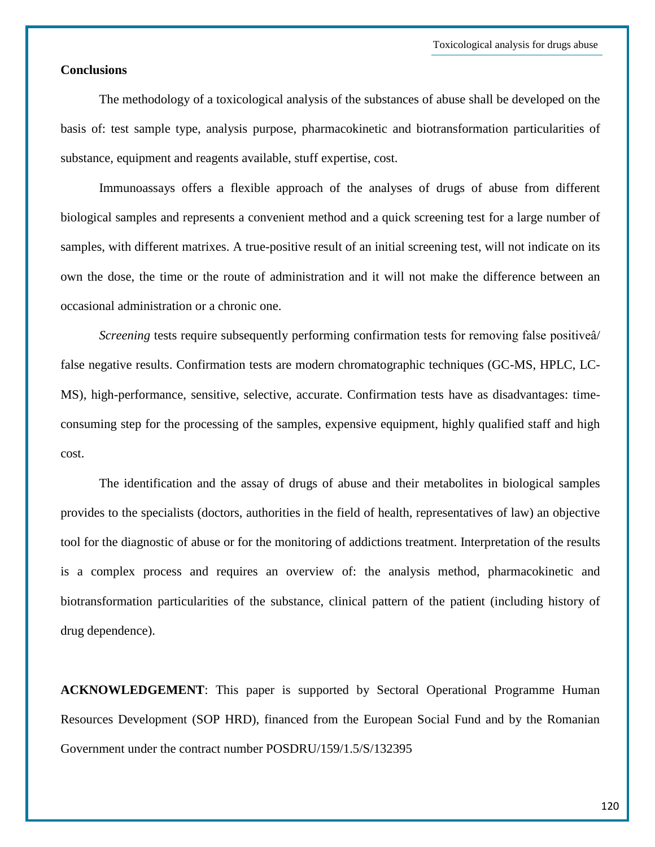## **Conclusions**

The methodology of a toxicological analysis of the substances of abuse shall be developed on the basis of: test sample type, analysis purpose, pharmacokinetic and biotransformation particularities of substance, equipment and reagents available, stuff expertise, cost.

Immunoassays offers a flexible approach of the analyses of drugs of abuse from different biological samples and represents a convenient method and a quick screening test for a large number of samples, with different matrixes. A true-positive result of an initial screening test, will not indicate on its own the dose, the time or the route of administration and it will not make the difference between an occasional administration or a chronic one.

*Screening* tests require subsequently performing confirmation tests for removing false positivea/ false negative results. Confirmation tests are modern chromatographic techniques (GC-MS, HPLC, LC-MS), high-performance, sensitive, selective, accurate. Confirmation tests have as disadvantages: timeconsuming step for the processing of the samples, expensive equipment, highly qualified staff and high cost.

The identification and the assay of drugs of abuse and their metabolites in biological samples provides to the specialists (doctors, authorities in the field of health, representatives of law) an objective tool for the diagnostic of abuse or for the monitoring of addictions treatment. Interpretation of the results is a complex process and requires an overview of: the analysis method, pharmacokinetic and biotransformation particularities of the substance, clinical pattern of the patient (including history of drug dependence).

**ACKNOWLEDGEMENT**: This paper is supported by Sectoral Operational Programme Human Resources Development (SOP HRD), financed from the European Social Fund and by the Romanian Government under the contract number POSDRU/159/1.5/S/132395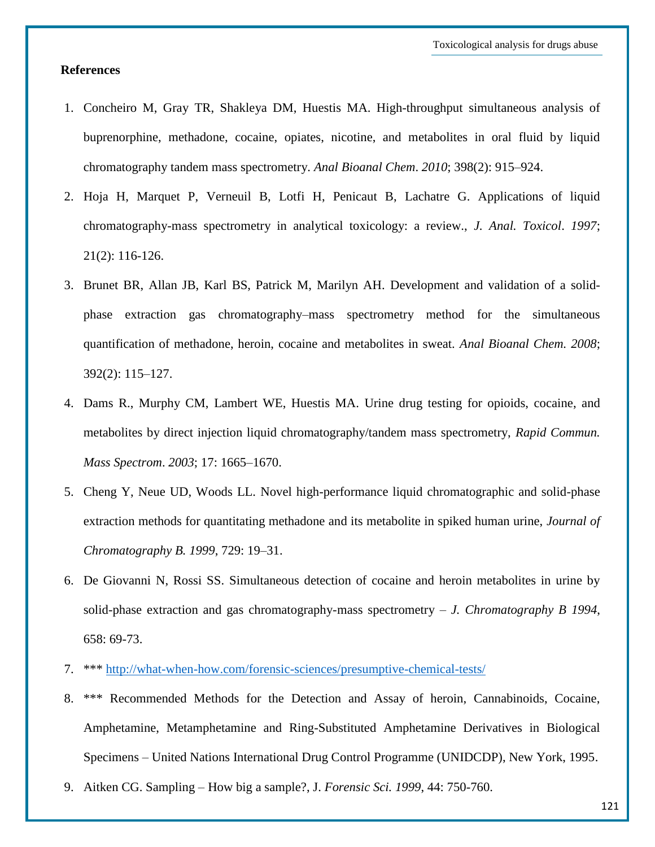## **References**

- 1. Concheiro M, Gray TR, Shakleya DM, Huestis MA. High-throughput simultaneous analysis of buprenorphine, methadone, cocaine, opiates, nicotine, and metabolites in oral fluid by liquid chromatography tandem mass spectrometry. *Anal Bioanal Chem*. *2010*; 398(2): 915–924.
- 2. Hoja H, Marquet P, Verneuil B, Lotfi H, Penicaut B, Lachatre G. Applications of liquid chromatography-mass spectrometry in analytical toxicology: a review., *J. Anal. Toxicol*. *1997*; 21(2): 116-126.
- 3. Brunet BR, Allan JB, Karl BS, Patrick M, Marilyn AH. Development and validation of a solidphase extraction gas chromatography–mass spectrometry method for the simultaneous quantification of methadone, heroin, cocaine and metabolites in sweat. *Anal Bioanal Chem. 2008*; 392(2): 115–127.
- 4. Dams R., Murphy CM, Lambert WE, Huestis MA. Urine drug testing for opioids, cocaine, and metabolites by direct injection liquid chromatography/tandem mass spectrometry, *Rapid Commun. Mass Spectrom*. *2003*; 17: 1665–1670.
- 5. Cheng Y, Neue UD, Woods LL. Novel high-performance liquid chromatographic and solid-phase extraction methods for quantitating methadone and its metabolite in spiked human urine, *Journal of Chromatography B. 1999*, 729: 19–31.
- 6. De Giovanni N, Rossi SS. Simultaneous detection of cocaine and heroin metabolites in urine by solid-phase extraction and gas chromatography-mass spectrometry – *J. Chromatography B 1994*, 658: 69-73.
- 7. \*\*\*<http://what-when-how.com/forensic-sciences/presumptive-chemical-tests/>
- 8. \*\*\* Recommended Methods for the Detection and Assay of heroin, Cannabinoids, Cocaine, Amphetamine, Metamphetamine and Ring-Substituted Amphetamine Derivatives in Biological Specimens – United Nations International Drug Control Programme (UNIDCDP), New York, 1995.
- 9. Aitken CG. Sampling How big a sample?, J. *Forensic Sci. 1999*, 44: 750-760.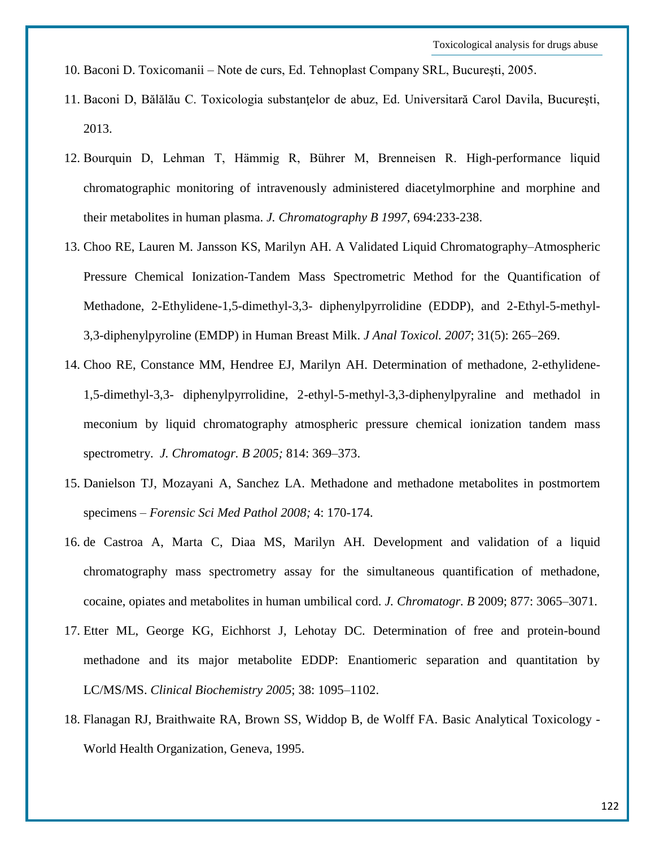- 10. Baconi D. Toxicomanii Note de curs, Ed. Tehnoplast Company SRL, Bucureşti, 2005.
- 11. Baconi D, Bălălău C. Toxicologia substanţelor de abuz, Ed. Universitară Carol Davila, Bucureşti, 2013.
- 12. Bourquin D, Lehman T, Hämmig R, Bührer M, Brenneisen R. High-performance liquid chromatographic monitoring of intravenously administered diacetylmorphine and morphine and their metabolites in human plasma. *J. Chromatography B 1997*, 694:233-238.
- 13. Choo RE, Lauren M. Jansson KS, Marilyn AH. A Validated Liquid Chromatography–Atmospheric Pressure Chemical Ionization-Tandem Mass Spectrometric Method for the Quantification of Methadone, 2-Ethylidene-1,5-dimethyl-3,3- diphenylpyrrolidine (EDDP), and 2-Ethyl-5-methyl-3,3-diphenylpyroline (EMDP) in Human Breast Milk. *J Anal Toxicol. 2007*; 31(5): 265–269.
- 14. Choo RE, Constance MM, Hendree EJ, Marilyn AH. Determination of methadone, 2-ethylidene-1,5-dimethyl-3,3- diphenylpyrrolidine, 2-ethyl-5-methyl-3,3-diphenylpyraline and methadol in meconium by liquid chromatography atmospheric pressure chemical ionization tandem mass spectrometry. *J. Chromatogr. B 2005;* 814: 369–373.
- 15. Danielson TJ, Mozayani A, Sanchez LA. Methadone and methadone metabolites in postmortem specimens – *Forensic Sci Med Pathol 2008;* 4: 170-174.
- 16. de Castroa A, Marta C, Diaa MS, Marilyn AH. Development and validation of a liquid chromatography mass spectrometry assay for the simultaneous quantification of methadone, cocaine, opiates and metabolites in human umbilical cord. *J. Chromatogr. B* 2009; 877: 3065–3071.
- 17. Etter ML, George KG, Eichhorst J, Lehotay DC. Determination of free and protein-bound methadone and its major metabolite EDDP: Enantiomeric separation and quantitation by LC/MS/MS. *Clinical Biochemistry 2005*; 38: 1095–1102.
- 18. Flanagan RJ, Braithwaite RA, Brown SS, Widdop B, de Wolff FA. Basic Analytical Toxicology World Health Organization, Geneva, 1995.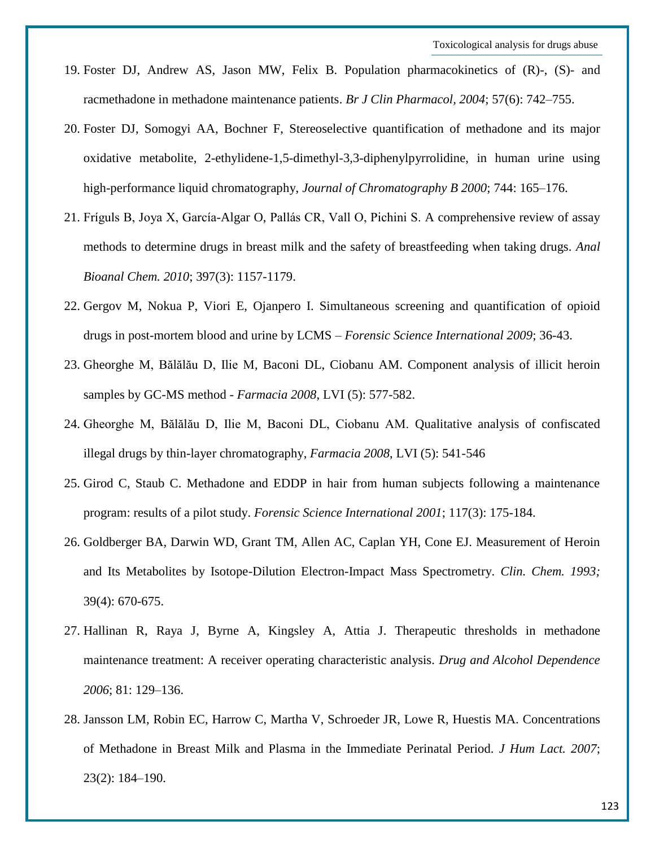- 19. Foster DJ, Andrew AS, Jason MW, Felix B. Population pharmacokinetics of (R)-, (S)- and racmethadone in methadone maintenance patients. *Br J Clin Pharmacol, 2004*; 57(6): 742–755.
- 20. Foster DJ, Somogyi AA, Bochner F, Stereoselective quantification of methadone and its major oxidative metabolite, 2-ethylidene-1,5-dimethyl-3,3-diphenylpyrrolidine, in human urine using high-performance liquid chromatography, *Journal of Chromatography B 2000*; 744: 165–176.
- 21. Fríguls B, Joya X, García-Algar O, Pallás CR, Vall O, Pichini S. A comprehensive review of assay methods to determine drugs in breast milk and the safety of breastfeeding when taking drugs. *Anal Bioanal Chem. 2010*; 397(3): 1157-1179.
- 22. Gergov M, Nokua P, Viori E, Ojanpero I. Simultaneous screening and quantification of opioid drugs in post-mortem blood and urine by LCMS – *Forensic Science International 2009*; 36-43.
- 23. Gheorghe M, Bălălău D, Ilie M, Baconi DL, Ciobanu AM. Component analysis of illicit heroin samples by GC-MS method - *Farmacia 2008*, LVI (5): 577-582.
- 24. Gheorghe M, Bălălău D, Ilie M, Baconi DL, Ciobanu AM. Qualitative analysis of confiscated illegal drugs by thin-layer chromatography, *Farmacia 2008*, LVI (5): 541-546
- 25. Girod C, Staub C. Methadone and EDDP in hair from human subjects following a maintenance program: results of a pilot study. *Forensic Science International 2001*; 117(3): 175-184.
- 26. Goldberger BA, Darwin WD, Grant TM, Allen AC, Caplan YH, Cone EJ. Measurement of Heroin and Its Metabolites by Isotope-Dilution Electron-Impact Mass Spectrometry. *Clin. Chem. 1993;*  39(4): 670-675.
- 27. Hallinan R, Raya J, Byrne A, Kingsley A, Attia J. Therapeutic thresholds in methadone maintenance treatment: A receiver operating characteristic analysis. *Drug and Alcohol Dependence 2006*; 81: 129–136.
- 28. Jansson LM, Robin EC, Harrow C, Martha V, Schroeder JR, Lowe R, Huestis MA. Concentrations of Methadone in Breast Milk and Plasma in the Immediate Perinatal Period. *J Hum Lact. 2007*; 23(2): 184–190.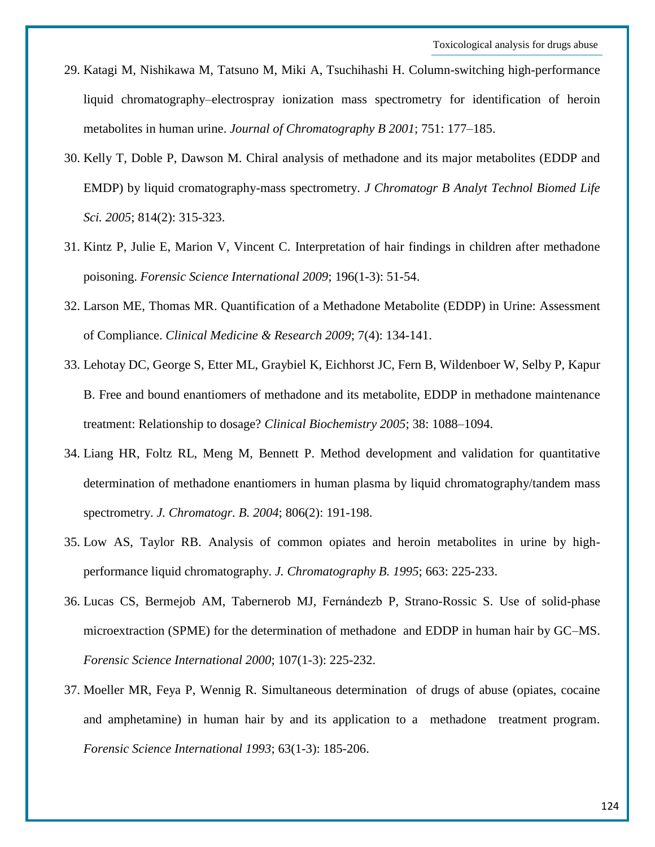- 29. Katagi M, Nishikawa M, Tatsuno M, Miki A, Tsuchihashi H. Column-switching high-performance liquid chromatography–electrospray ionization mass spectrometry for identification of heroin metabolites in human urine. *Journal of Chromatography B 2001*; 751: 177–185.
- 30. Kelly T, Doble P, Dawson M. Chiral analysis of methadone and its major metabolites (EDDP and EMDP) by liquid cromatography-mass spectrometry. *J Chromatogr B Analyt Technol Biomed Life Sci. 2005*; 814(2): 315-323.
- 31. Kintz P, Julie E, Marion V, Vincent C. Interpretation of hair findings in children after methadone poisoning. *Forensic Science International 2009*; 196(1-3): 51-54.
- 32. Larson ME, Thomas MR. Quantification of a Methadone Metabolite (EDDP) in Urine: Assessment of Compliance. *Clinical Medicine & Research 2009*; 7(4): 134-141.
- 33. Lehotay DC, George S, Etter ML, Graybiel K, Eichhorst JC, Fern B, Wildenboer W, Selby P, Kapur B. Free and bound enantiomers of methadone and its metabolite, EDDP in methadone maintenance treatment: Relationship to dosage? *Clinical Biochemistry 2005*; 38: 1088–1094.
- 34. Liang HR, Foltz RL, Meng M, Bennett P. Method development and validation for quantitative determination of methadone enantiomers in human plasma by liquid chromatography/tandem mass spectrometry. *J. Chromatogr. B. 2004*; 806(2): 191-198.
- 35. Low AS, Taylor RB. Analysis of common opiates and heroin metabolites in urine by highperformance liquid chromatography. *J. Chromatography B. 1995*; 663: 225-233.
- 36. Lucas CS, Bermejob AM, Tabernerob MJ, Fernándezb P, Strano-Rossic S. Use of solid-phase microextraction (SPME) for the determination of methadone and EDDP in human hair by GC–MS. *Forensic Science International 2000*; 107(1-3): 225-232.
- 37. Moeller MR, Feya P, Wennig R. Simultaneous determination of drugs of abuse (opiates, cocaine and amphetamine) in human hair by and its application to a methadone treatment program. *Forensic Science International 1993*; 63(1-3): 185-206.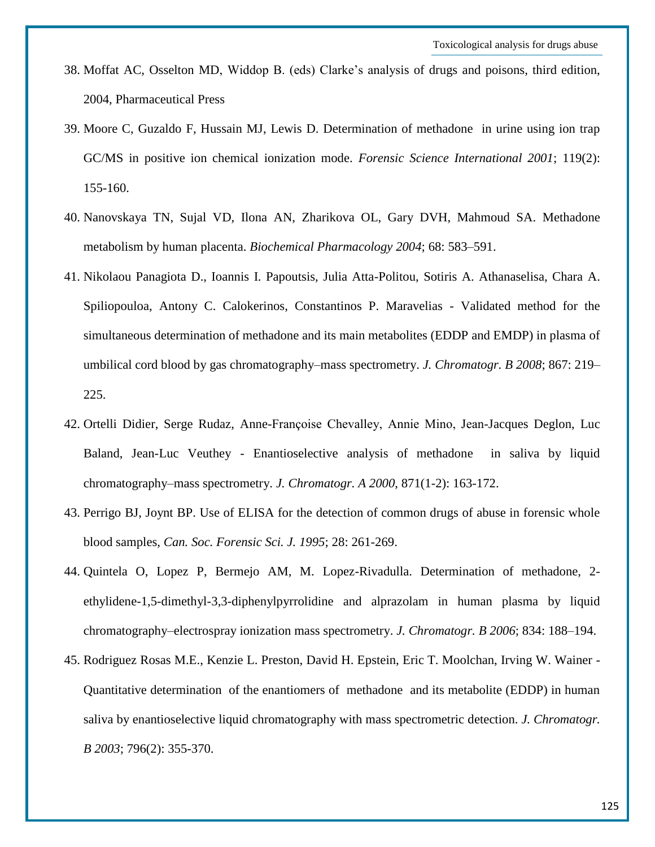- 38. Moffat AC, Osselton MD, Widdop B. (eds) Clarke's analysis of drugs and poisons, third edition, 2004, Pharmaceutical Press
- 39. Moore C, Guzaldo F, Hussain MJ, Lewis D. Determination of methadone in urine using ion trap GC/MS in positive ion chemical ionization mode. *Forensic Science International 2001*; 119(2): 155-160.
- 40. Nanovskaya TN, Sujal VD, Ilona AN, Zharikova OL, Gary DVH, Mahmoud SA. Methadone metabolism by human placenta. *Biochemical Pharmacology 2004*; 68: 583–591.
- 41. Nikolaou Panagiota D., Ioannis I. Papoutsis, Julia Atta-Politou, Sotiris A. Athanaselisa, Chara A. Spiliopouloa, Antony C. Calokerinos, Constantinos P. Maravelias - Validated method for the simultaneous determination of methadone and its main metabolites (EDDP and EMDP) in plasma of umbilical cord blood by gas chromatography–mass spectrometry. *J. Chromatogr. B 2008*; 867: 219– 225.
- 42. Ortelli Didier, Serge Rudaz, Anne-Françoise Chevalley, Annie Mino, Jean-Jacques Deglon, Luc Baland, Jean-Luc Veuthey - Enantioselective analysis of methadone in saliva by liquid chromatography–mass spectrometry. *J. Chromatogr. A 2000*, 871(1-2): 163-172.
- 43. Perrigo BJ, Joynt BP. Use of ELISA for the detection of common drugs of abuse in forensic whole blood samples, *Can. Soc. Forensic Sci. J. 1995*; 28: 261-269.
- 44. Quintela O, Lopez P, Bermejo AM, M. Lopez-Rivadulla. Determination of methadone, 2 ethylidene-1,5-dimethyl-3,3-diphenylpyrrolidine and alprazolam in human plasma by liquid chromatography–electrospray ionization mass spectrometry. *J. Chromatogr. B 2006*; 834: 188–194.
- 45. Rodriguez Rosas M.E., Kenzie L. Preston, David H. Epstein, Eric T. Moolchan, Irving W. Wainer Quantitative determination of the enantiomers of methadone and its metabolite (EDDP) in human saliva by enantioselective liquid chromatography with mass spectrometric detection. *J. Chromatogr. B 2003*; 796(2): 355-370.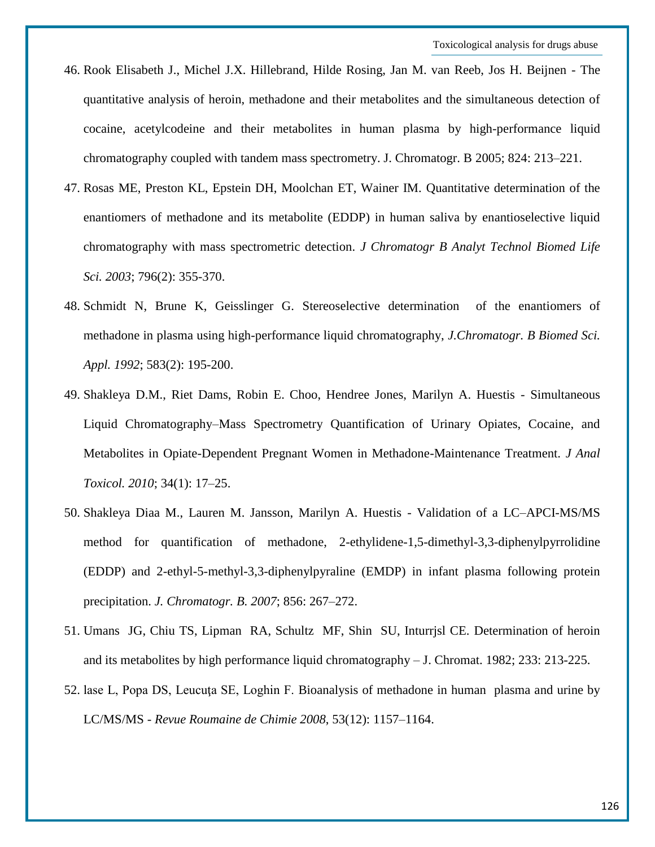- 46. Rook Elisabeth J., Michel J.X. Hillebrand, Hilde Rosing, Jan M. van Reeb, Jos H. Beijnen The quantitative analysis of heroin, methadone and their metabolites and the simultaneous detection of cocaine, acetylcodeine and their metabolites in human plasma by high-performance liquid chromatography coupled with tandem mass spectrometry. J. Chromatogr. B 2005; 824: 213–221.
- 47. Rosas ME, Preston KL, Epstein DH, Moolchan ET, Wainer IM. Quantitative determination of the enantiomers of methadone and its metabolite (EDDP) in human saliva by enantioselective liquid chromatography with mass spectrometric detection. *J Chromatogr B Analyt Technol Biomed Life Sci. 2003*; 796(2): 355-370.
- 48. Schmidt N, Brune K, Geisslinger G. Stereoselective determination of the enantiomers of methadone in plasma using high-performance liquid chromatography, *J.Chromatogr. B Biomed Sci. Appl. 1992*; 583(2): 195-200.
- 49. Shakleya D.M., Riet Dams, Robin E. Choo, Hendree Jones, Marilyn A. Huestis Simultaneous Liquid Chromatography–Mass Spectrometry Quantification of Urinary Opiates, Cocaine, and Metabolites in Opiate-Dependent Pregnant Women in Methadone-Maintenance Treatment. *J Anal Toxicol. 2010*; 34(1): 17–25.
- 50. Shakleya Diaa M., Lauren M. Jansson, Marilyn A. Huestis Validation of a LC–APCI-MS/MS method for quantification of methadone, 2-ethylidene-1,5-dimethyl-3,3-diphenylpyrrolidine (EDDP) and 2-ethyl-5-methyl-3,3-diphenylpyraline (EMDP) in infant plasma following protein precipitation. *J. Chromatogr. B. 2007*; 856: 267–272.
- 51. Umans JG, Chiu TS, Lipman RA, Schultz MF, Shin SU, Inturrjsl CE. Determination of heroin and its metabolites by high performance liquid chromatography – J. Chromat. 1982; 233: 213-225.
- 52. lase L, Popa DS, Leucuţa SE, Loghin F. Bioanalysis of methadone in human plasma and urine by LC/MS/MS - *Revue Roumaine de Chimie 2008*, 53(12): 1157–1164.